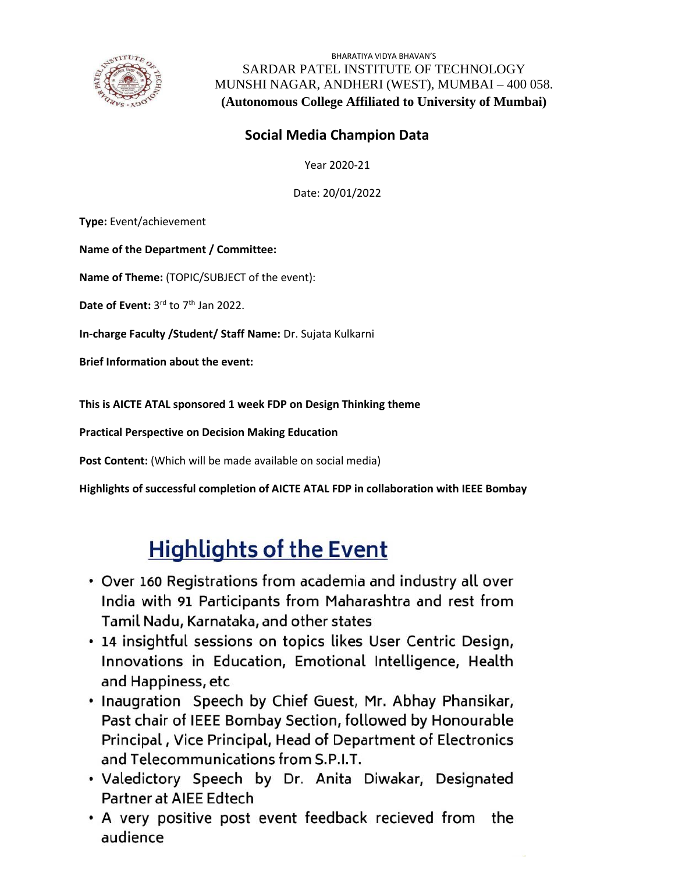

BHARATIYA VIDYA BHAVAN'S SARDAR PATEL INSTITUTE OF TECHNOLOGY MUNSHI NAGAR, ANDHERI (WEST), MUMBAI – 400 058. **(Autonomous College Affiliated to University of Mumbai)**

## **Social Media Champion Data**

Year 2020-21

Date: 20/01/2022

**Type:** Event/achievement

**Name of the Department / Committee:**

**Name of Theme:** (TOPIC/SUBJECT of the event):

Date of Event: 3<sup>rd</sup> to 7<sup>th</sup> Jan 2022.

**In-charge Faculty /Student/ Staff Name:** Dr. Sujata Kulkarni

**Brief Information about the event:**

**This is AICTE ATAL sponsored 1 week FDP on Design Thinking theme** 

**Practical Perspective on Decision Making Education**

Post Content: (Which will be made available on social media)

**Highlights of successful completion of AICTE ATAL FDP in collaboration with IEEE Bombay**

## **Highlights of the Event**

- Over 160 Registrations from academia and industry all over India with 91 Participants from Maharashtra and rest from Tamil Nadu, Karnataka, and other states
- 14 insightful sessions on topics likes User Centric Design, Innovations in Education, Emotional Intelligence, Health and Happiness, etc
- . Inaugration Speech by Chief Guest, Mr. Abhay Phansikar, Past chair of IEEE Bombay Section, followed by Honourable Principal, Vice Principal, Head of Department of Electronics and Telecommunications from S.P.I.T.
- . Valedictory Speech by Dr. Anita Diwakar, Designated Partner at AIEE Edtech
- A very positive post event feedback recieved from the audience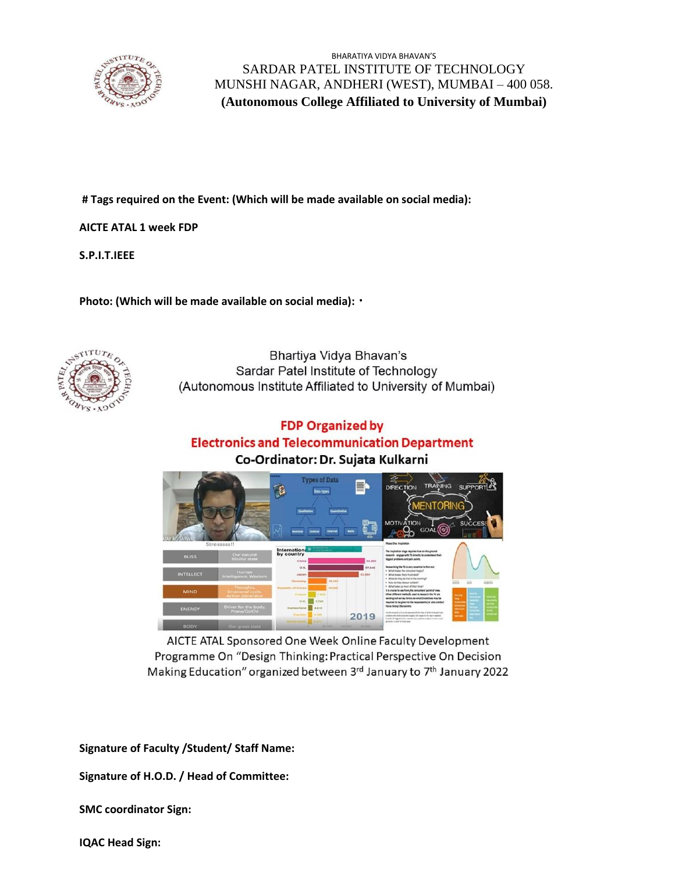

BHARATIYA VIDYA BHAVAN'S SARDAR PATEL INSTITUTE OF TECHNOLOGY MUNSHI NAGAR, ANDHERI (WEST), MUMBAI – 400 058. **(Autonomous College Affiliated to University of Mumbai)**

**# Tags required on the Event: (Which will be made available on social media):**

**AICTE ATAL 1 week FDP** 

**S.P.I.T.IEEE**

**Photo: (Which will be made available on social media):**



Bhartiya Vidya Bhavan's Sardar Patel Institute of Technology (Autonomous Institute Affiliated to University of Mumbai)

## **FDP Organized by Electronics and Telecommunication Department** Co-Ordinator: Dr. Sujata Kulkarni



AICTE ATAL Sponsored One Week Online Faculty Development Programme On "Design Thinking: Practical Perspective On Decision Making Education" organized between 3rd January to 7th January 2022

**Signature of Faculty /Student/ Staff Name:** 

**Signature of H.O.D. / Head of Committee:**

**SMC coordinator Sign:**

**IQAC Head Sign:**